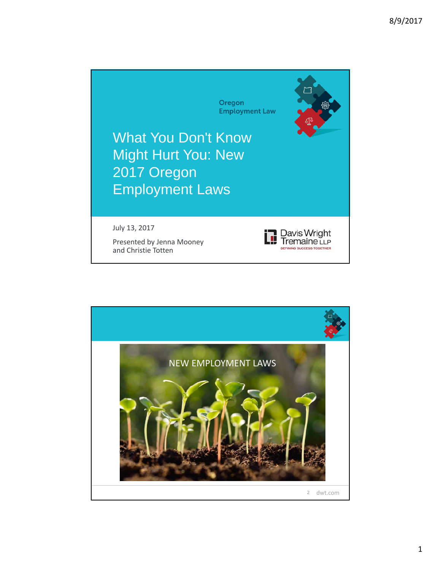

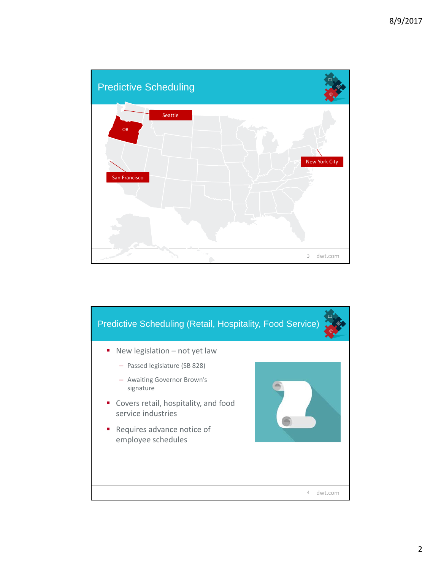

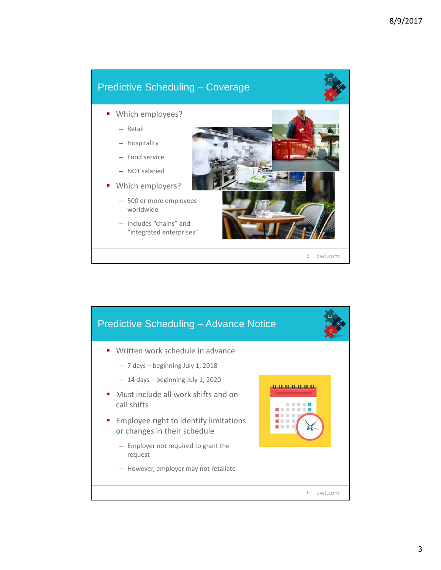## Predictive Scheduling – Coverage

- **Which employees?** 
	- Retail
	- Hospitality
	- Food service
	- NOT salaried
- Which employers?
	- 500 or more employees worldwide
	- Includes "chains" and "integrated enterprises"



dwt.com 5

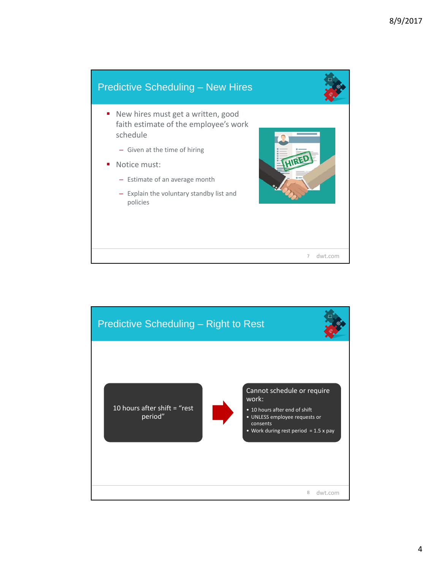## dwt.com 7 Predictive Scheduling – New Hires ■ New hires must get a written, good faith estimate of the employee's work schedule – Given at the time of hiring Notice must: – Estimate of an average month – Explain the voluntary standby list and policies

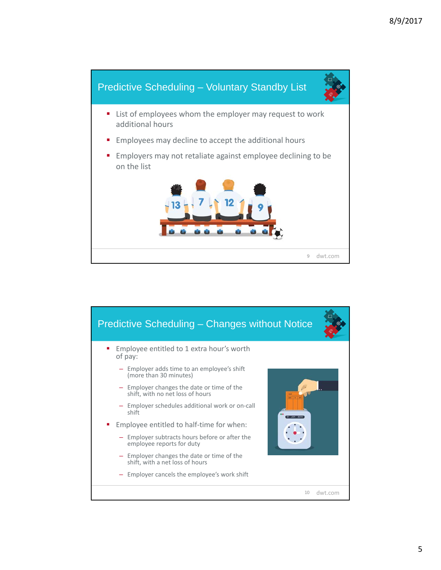

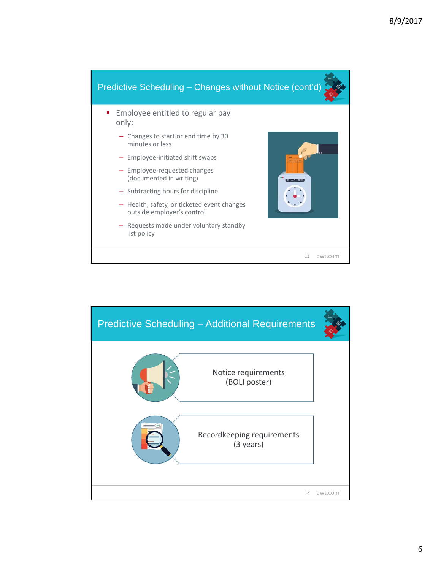

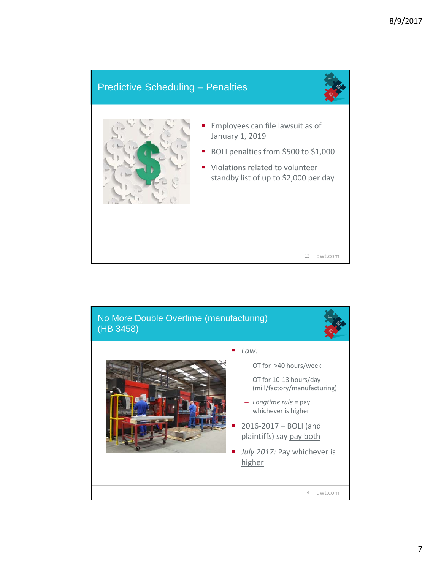## Predictive Scheduling – Penalties



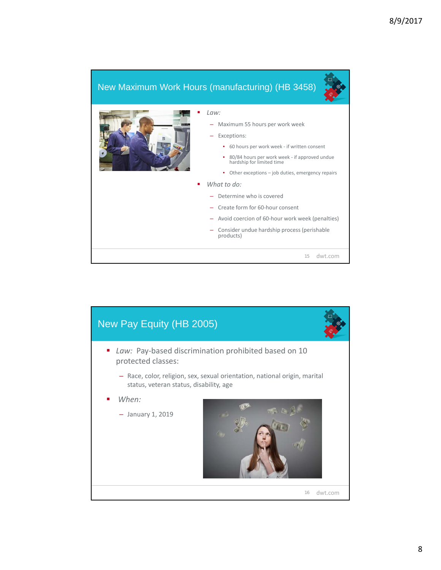## New Maximum Work Hours (manufacturing) (HB 3458)



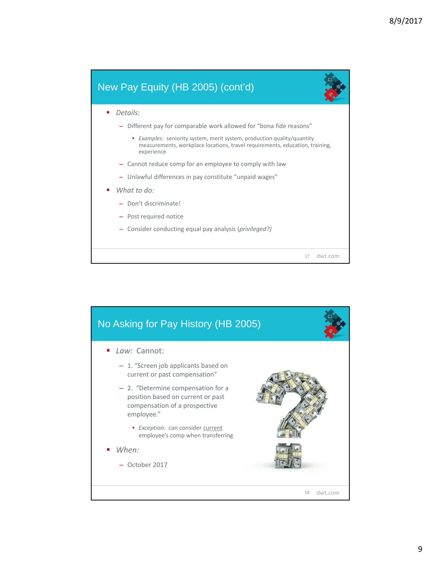

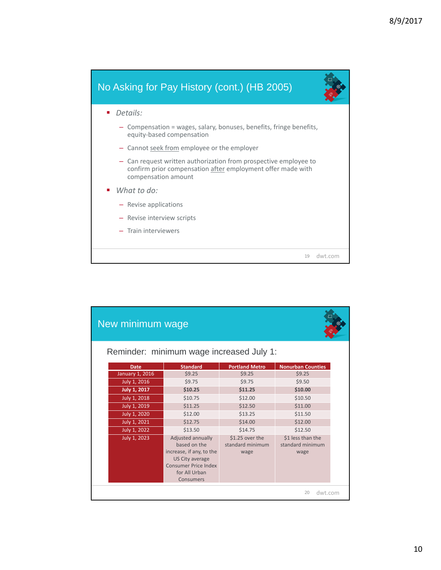

| New minimum wage                         |                                                                                                                                               |                                             |                                               |  |
|------------------------------------------|-----------------------------------------------------------------------------------------------------------------------------------------------|---------------------------------------------|-----------------------------------------------|--|
| Reminder: minimum wage increased July 1: |                                                                                                                                               |                                             |                                               |  |
| <b>Date</b>                              | <b>Standard</b>                                                                                                                               | <b>Portland Metro</b>                       | <b>Nonurban Counties</b>                      |  |
| January 1, 2016                          | \$9.25                                                                                                                                        | \$9.25                                      | \$9.25                                        |  |
| July 1, 2016                             | \$9.75                                                                                                                                        | \$9.75                                      | \$9.50                                        |  |
| <b>July 1, 2017</b>                      | \$10.25                                                                                                                                       | \$11.25                                     | \$10.00                                       |  |
| July 1, 2018                             | \$10.75                                                                                                                                       | \$12.00                                     | \$10.50                                       |  |
| July 1, 2019                             | \$11.25                                                                                                                                       | \$12.50                                     | \$11.00                                       |  |
| July 1, 2020                             | \$12.00                                                                                                                                       | \$13.25                                     | \$11.50                                       |  |
| July 1, 2021                             | \$12.75                                                                                                                                       | \$14.00                                     | \$12.00                                       |  |
| July 1, 2022                             | \$13.50                                                                                                                                       | \$14.75                                     | \$12.50                                       |  |
| July 1, 2023                             | Adjusted annually<br>hased on the<br>increase, if any, to the<br><b>US City average</b><br>Consumer Price Index<br>for All Urban<br>Consumers | \$1.25 over the<br>standard minimum<br>wage | \$1 less than the<br>standard minimum<br>wage |  |
| dwt.com<br>20                            |                                                                                                                                               |                                             |                                               |  |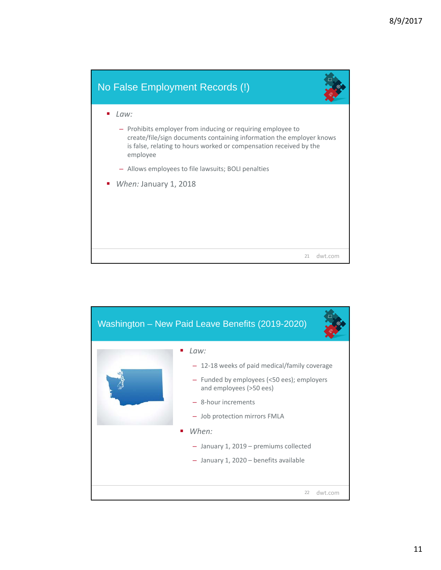